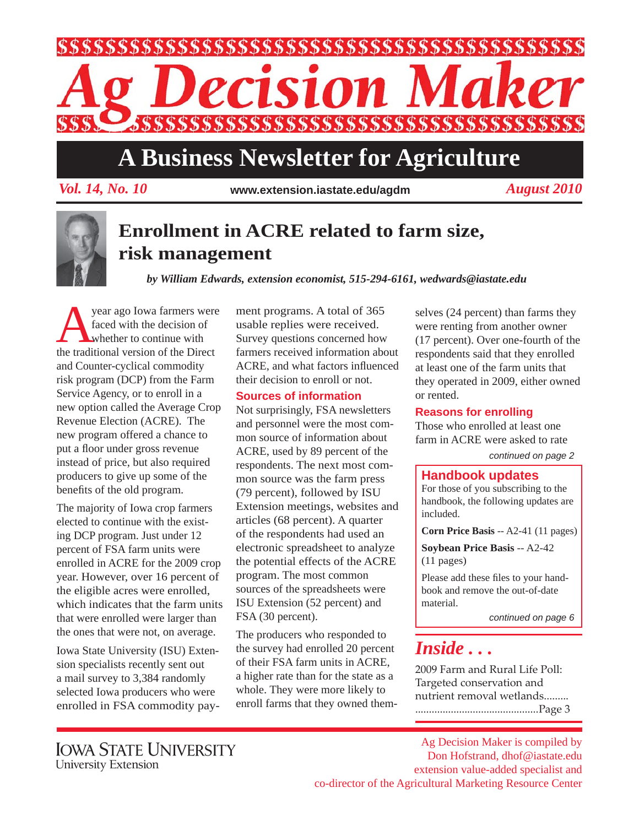

# **A Business Newsletter for Agriculture**

*Vol. 14, No. 10 August 2010* **www.extension.iastate.edu/agdm**



### **Enrollment in ACRE related to farm size, risk management**

*by William Edwards, extension economist, 515-294-6161, wedwards@iastate.edu*

year ago Iowa farmers were faced with the decision of whether to continue with the traditional version of the Direct and Counter-cyclical commodity risk program (DCP) from the Farm Service Agency, or to enroll in a new option called the Average Crop Revenue Election (ACRE). The new program offered a chance to put a floor under gross revenue instead of price, but also required producers to give up some of the benefits of the old program.

The majority of Iowa crop farmers elected to continue with the existing DCP program. Just under 12 percent of FSA farm units were enrolled in ACRE for the 2009 crop year. However, over 16 percent of the eligible acres were enrolled, which indicates that the farm units that were enrolled were larger than the ones that were not, on average.

Iowa State University (ISU) Extension specialists recently sent out a mail survey to 3,384 randomly selected Iowa producers who were enrolled in FSA commodity pay-

ment programs. A total of 365 usable replies were received. Survey questions concerned how farmers received information about ACRE, and what factors influenced their decision to enroll or not.

### **Sources of information**

Not surprisingly, FSA newsletters and personnel were the most common source of information about ACRE, used by 89 percent of the respondents. The next most common source was the farm press (79 percent), followed by ISU Extension meetings, websites and articles (68 percent). A quarter of the respondents had used an electronic spreadsheet to analyze the potential effects of the ACRE program. The most common sources of the spreadsheets were ISU Extension (52 percent) and FSA (30 percent).

The producers who responded to the survey had enrolled 20 percent of their FSA farm units in ACRE, a higher rate than for the state as a whole. They were more likely to enroll farms that they owned themselves (24 percent) than farms they were renting from another owner (17 percent). Over one-fourth of the respondents said that they enrolled at least one of the farm units that they operated in 2009, either owned or rented.

### **Reasons for enrolling**

Those who enrolled at least one farm in ACRE were asked to rate

*continued on page 2*

### **Handbook updates**

For those of you subscribing to the handbook, the following updates are included.

**Corn Price Basis** -- A2-41 (11 pages)

**Soybean Price Basis** -- A2-42 (11 pages)

Please add these files to your handbook and remove the out-of-date material.

*continued on page 6*

## *Inside . . .*

2009 Farm and Rural Life Poll: Targeted conservation and nutrient removal wetlands......... .............................................Page 3

Ag Decision Maker is compiled by Don Hofstrand, dhof@iastate.edu extension value-added specialist and co-director of the Agricultural Marketing Resource Center